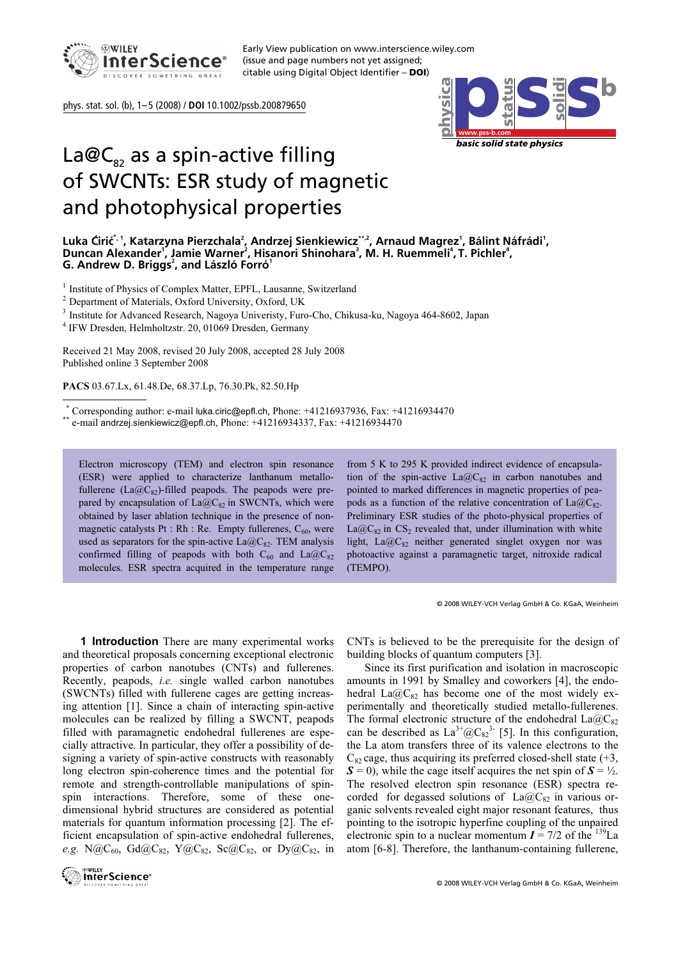

Early View publication on www.interscience.wiley.com (issue and page numbers not yet assigned; citable using Digital Object Identifier – **DOI**)

phys. stat. sol. (b), 1–5 (2008) / **DOI** 10.1002/pssb.200879650



## La@C<sub>82</sub> as a spin-active filling of SWCNTs: ESR study of magnetic and photophysical properties

<sup>1</sup> Institute of Physics of Complex Matter, EPFL, Lausanne, Switzerland  $\frac{2}{5}$ 

 $^2$  Department of Materials, Oxford University, Oxford, UK

<sup>3</sup> Institute for Advanced Research, Nagoya Univeristy, Furo-Cho, Chikusa-ku, Nagoya 464-8602, Japan

<sup>4</sup> IFW Dresden, Helmholtzstr. 20, 01069 Dresden, Germany

Received 21 May 2008, revised 20 July 2008, accepted 28 July 2008 Published online 3 September 2008

PACS 03.67.Lx, 61.48.De, 68.37.Lp, 76.30.Pk, 82.50.Hp

-

 $*$  Corresponding author: e-mail luka.ciric@epfl.ch, Phone: +41216937936, Fax: +41216934470

 $^*$ e-mail andrzej.sienkiewicz@epfl.ch, Phone:  $+41216934337$ , Fax:  $+41216934470$ 

Electron microscopy (TEM) and electron spin resonance (ESR) were applied to characterize lanthanum metallofullerene (La@C<sub>82</sub>)-filled peapods. The peapods were prepared by encapsulation of  $La@C_{82}$  in SWCNTs, which were obtained by laser ablation technique in the presence of nonmagnetic catalysts Pt : Rh : Re. Empty fullerenes,  $C_{60}$ , were used as separators for the spin-active  $La@C_{82}$ . TEM analysis confirmed filling of peapods with both  $C_{60}$  and  $La@C_{82}$ molecules. ESR spectra acquired in the temperature range

from 5 K to 295 K provided indirect evidence of encapsulation of the spin-active  $La@C_{82}$  in carbon nanotubes and pointed to marked differences in magnetic properties of peapods as a function of the relative concentration of  $La@C_{82}$ . Preliminary ESR studies of the photo-physical properties of  $La@C_{82}$  in CS<sub>2</sub> revealed that, under illumination with white light, La $@C_{82}$  neither generated singlet oxygen nor was photoactive against a paramagnetic target, nitroxide radical (TEMPO).

© 2008 WILEY-VCH Verlag GmbH & Co. KGaA, Weinheim

1 Introduction There are many experimental works and theoretical proposals concerning exceptional electronic properties of carbon nanotubes (CNTs) and fullerenes. Recently, peapods, i.e. single walled carbon nanotubes (SWCNTs) filled with fullerene cages are getting increasing attention [1]. Since a chain of interacting spin-active molecules can be realized by filling a SWCNT, peapods filled with paramagnetic endohedral fullerenes are especially attractive. In particular, they offer a possibility of designing a variety of spin-active constructs with reasonably long electron spin-coherence times and the potential for remote and strength-controllable manipulations of spinspin interactions. Therefore, some of these onedimensional hybrid structures are considered as potential materials for quantum information processing [2]. The efficient encapsulation of spin-active endohedral fullerenes, e.g. N@C<sub>60</sub>, Gd@C<sub>82</sub>, Y@C<sub>82</sub>, Sc@C<sub>82</sub>, or Dy@C<sub>82</sub>, in



CNTs is believed to be the prerequisite for the design of building blocks of quantum computers [3].

 Since its first purification and isolation in macroscopic amounts in 1991 by Smalley and coworkers [4], the endohedral La $@C_82$  has become one of the most widely experimentally and theoretically studied metallo-fullerenes. The formal electronic structure of the endohedral  $La@C_82$ can be described as  $La^{3+}@C_{82}^3$ <sup>-</sup> [5]. In this configuration, the La atom transfers three of its valence electrons to the  $C_8$  cage, thus acquiring its preferred closed-shell state (+3,  $S = 0$ , while the cage itself acquires the net spin of  $S = \frac{1}{2}$ . The resolved electron spin resonance (ESR) spectra recorded for degassed solutions of  $La@C_{82}$  in various organic solvents revealed eight major resonant features, thus pointing to the isotropic hyperfine coupling of the unpaired electronic spin to a nuclear momentum  $I = 7/2$  of the <sup>139</sup>La atom [6-8]. Therefore, the lanthanum-containing fullerene,

Luka Ćirić<sup>\*, 1</sup>, Katarzyna Pierzchala<sup>2</sup>, Andrzej Sienkiewiczێ\*,2, Arnaud Magrez<sup>1</sup>, Bálint Náfrádi<sup>1</sup>, Duncan Alexander<sup>1</sup>, Jamie Warner<sup>2</sup>, Hisanori Shinohara<sup>3</sup>, M. H. Ruemmeli<sup>4</sup>, T. Pichler<sup>4</sup>, **G. Andrew D. Briggs<sup>2</sup> , and László Forró<sup>1</sup>**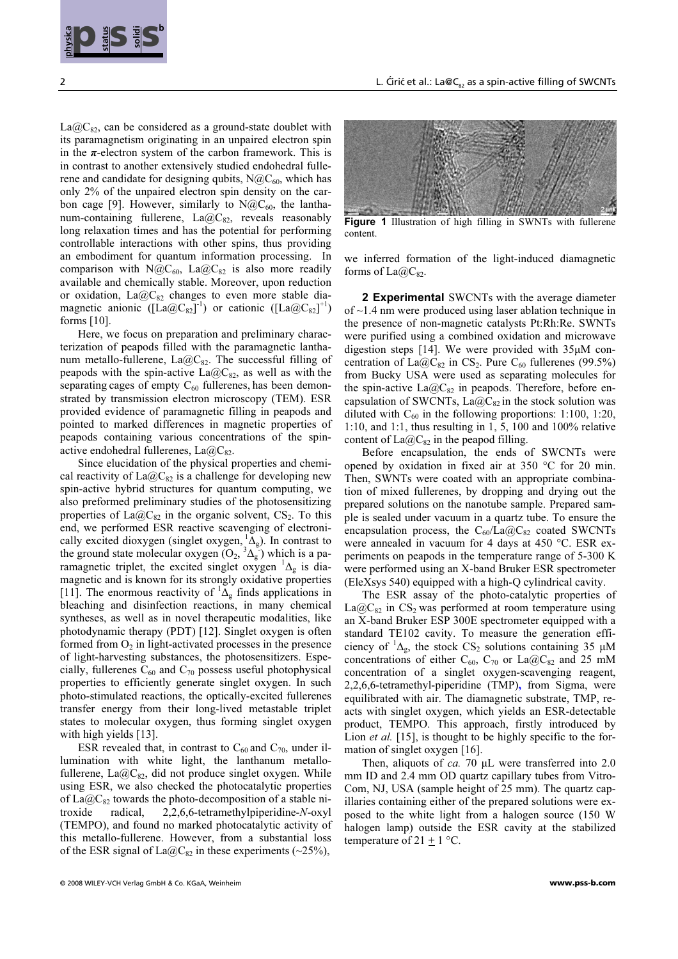

 $La@C_{82}$ , can be considered as a ground-state doublet with its paramagnetism originating in an unpaired electron spin in the  $\pi$ -electron system of the carbon framework. This is in contrast to another extensively studied endohedral fullerene and candidate for designing qubits,  $N@C_{60}$ , which has only 2% of the unpaired electron spin density on the carbon cage [9]. However, similarly to  $N@C_{60}$ , the lanthanum-containing fullerene,  $La@C_{82}$ , reveals reasonably long relaxation times and has the potential for performing controllable interactions with other spins, thus providing an embodiment for quantum information processing. In comparison with N@C<sub>60</sub>, La@C<sub>82</sub> is also more readily available and chemically stable. Moreover, upon reduction or oxidation, La $@C_{82}$  changes to even more stable diamagnetic anionic ( $\left[\text{La@C}_{82}\right]^{-1}$ ) or cationic ( $\left[\text{La@C}_{82}\right]^{+1}$ )<br>forms [10] forms [10].

 Here, we focus on preparation and preliminary characterization of peapods filled with the paramagnetic lanthanum metallo-fullerene,  $La@C_{82}$ . The successful filling of peapods with the spin-active  $La@C_{82}$ , as well as with the separating cages of empty  $C_{60}$  fullerenes, has been demonstrated by transmission electron microscopy (TEM). ESR provided evidence of paramagnetic filling in peapods and pointed to marked differences in magnetic properties of peapods containing various concentrations of the spinactive endohedral fullerenes,  $La@C<sub>82</sub>$ .

**EXERCISE SECTION CONSULTERIES INTERFECT INTO THE CONSULTERIES IN THE CONSULTERIES IN THE CONSULTERIES IN THE CONSULTERIES IN THE CONSULTERIES IN THE CONSULTERIES IN THE CONSULTERIES IN THE CONSULTERIES IN THE CONSULTERIE**  Since elucidation of the physical properties and chemical reactivity of  $La@C_{82}$  is a challenge for developing new spin-active hybrid structures for quantum computing, we also preformed preliminary studies of the photosensitizing properties of  $La@C_{82}$  in the organic solvent, CS<sub>2</sub>. To this end, we performed ESR reactive scavenging of electronically excited dioxygen (singlet oxygen,  ${}^{1}\Delta_{g}$ ). In contrast to the ground state melocular oxygen ( $O_1$ ,  ${}^{3}\Delta$ , ) which is a ne the ground state molecular oxygen  $(O_2, {}^3\Delta_g)$  which is a pa-<br>remeasuration trial of the quarted singlet extreme <sup>1</sup>A is disramagnetic triplet, the excited singlet oxygen  ${}^{1}\Delta_{g}$  is dia-<br>means is and is known for its strengly oxidative proportion magnetic and is known for its strongly oxidative properties [11]. The enormous reactivity of  ${}^1\Delta_g$  finds applications in<br>blooding and disinfection reactions in many abomised. bleaching and disinfection reactions, in many chemical syntheses, as well as in novel therapeutic modalities, like photodynamic therapy (PDT) [12]. Singlet oxygen is often formed from  $O_2$  in light-activated processes in the presence of light-harvesting substances, the photosensitizers. Especially, fullerenes  $C_{60}$  and  $C_{70}$  possess useful photophysical properties to efficiently generate singlet oxygen. In such photo-stimulated reactions, the optically-excited fullerenes transfer energy from their long-lived metastable triplet states to molecular oxygen, thus forming singlet oxygen with high yields [13].

ESR revealed that, in contrast to  $C_{60}$  and  $C_{70}$ , under illumination with white light, the lanthanum metallofullerene, La $@C_{82}$ , did not produce singlet oxygen. While using ESR, we also checked the photocatalytic properties of La@C<sub>82</sub> towards the photo-decomposition of a stable nitroxide radical, 2,2,6,6-tetramethylpiperidine-N-oxyl troxide radical, 2,2,6,6-tetramethylpiperidine-N-oxyl (TEMPO), and found no marked photocatalytic activity of this metallo-fullerene. However, from a substantial loss of the ESR signal of  $La@C_{82}$  in these experiments (~25%),



Figure 1 Illustration of high filling in SWNTs with fullerene content.

we inferred formation of the light-induced diamagnetic forms of  $La@C_82$ .

 2 Experimental SWCNTs with the average diameter of ~1.4 nm were produced using laser ablation technique in the presence of non-magnetic catalysts Pt:Rh:Re. SWNTs were purified using a combined oxidation and microwave digestion steps [14]. We were provided with 35μM concentration of La@C<sub>82</sub> in CS<sub>2</sub>. Pure C<sub>60</sub> fullerenes (99.5%) from Bucky USA were used as separating molecules for the spin-active  $La@C_{82}$  in peapods. Therefore, before encapsulation of SWCNTs,  $La@C_{82}$  in the stock solution was diluted with  $C_{60}$  in the following proportions: 1:100, 1:20, 1:10, and 1:1, thus resulting in 1, 5, 100 and 100% relative content of  $La@C_{82}$  in the peapod filling.

 Before encapsulation, the ends of SWCNTs were opened by oxidation in fixed air at 350 °C for 20 min. Then, SWNTs were coated with an appropriate combination of mixed fullerenes, by dropping and drying out the prepared solutions on the nanotube sample. Prepared sample is sealed under vacuum in a quartz tube. To ensure the encapsulation process, the  $C_{60}/La@C_{82}$  coated SWCNTs were annealed in vacuum for 4 days at 450 °C. ESR experiments on peapods in the temperature range of 5-300 K were performed using an X-band Bruker ESR spectrometer (EleXsys 540) equipped with a high-Q cylindrical cavity.

 The ESR assay of the photo-catalytic properties of  $La@C_{82}$  in CS<sub>2</sub> was performed at room temperature using an X-band Bruker ESP 300E spectrometer equipped with a standard TE102 cavity. To measure the generation efficiency of  ${}^1\Delta_g$ , the stock CS<sub>2</sub> solutions containing 35 μM<br>concentrations of either  $C_1$ ,  $C_2$ , or  $I_1 \circ \mathcal{O}C_1$  and 25 mM concentrations of either C<sub>60</sub>, C<sub>70</sub> or La@C<sub>82</sub> and 25 mM concentration of a singlet oxygen-scavenging reagent, 2,2,6,6-tetramethyl-piperidine (TMP), from Sigma, were equilibrated with air. The diamagnetic substrate, TMP, reacts with singlet oxygen, which yields an ESR-detectable product, TEMPO. This approach, firstly introduced by Lion *et al.* [15], is thought to be highly specific to the formation of singlet oxygen [16].

 Then, aliquots of ca. 70 μL were transferred into 2.0 mm ID and 2.4 mm OD quartz capillary tubes from Vitro-Com, NJ, USA (sample height of 25 mm). The quartz capillaries containing either of the prepared solutions were exposed to the white light from a halogen source (150 W halogen lamp) outside the ESR cavity at the stabilized temperature of 21  $\pm$  1 °C.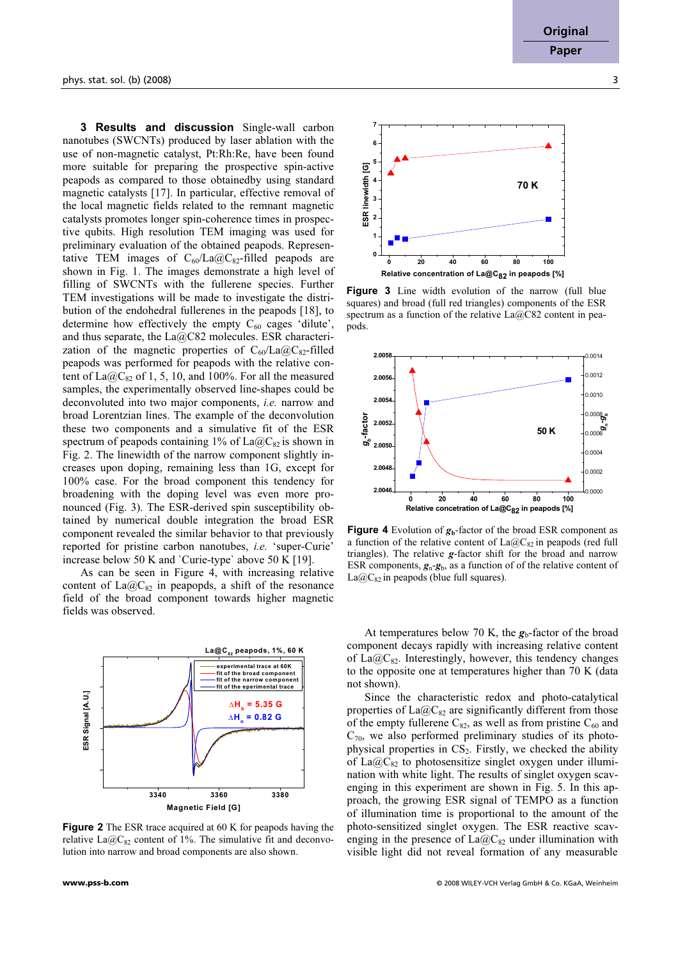**3 Results and discussion** Single-wall carbon nanotubes (SWCNTs) produced by laser ablation with the use of non-magnetic catalyst, Pt:Rh:Re, have been found more suitable for preparing the prospective spin-active peapods as compared to those obtainedby using standard magnetic catalysts [17]. In particular, effective removal of the local magnetic fields related to the remnant magnetic catalysts promotes longer spin-coherence times in prospective qubits. High resolution TEM imaging was used for preliminary evaluation of the obtained peapods. Representative TEM images of  $C_{60}/La@C_{82}$ -filled peapods are shown in Fig. 1. The images demonstrate a high level of filling of SWCNTs with the fullerene species. Further TEM investigations will be made to investigate the distribution of the endohedral fullerenes in the peapods [18], to determine how effectively the empty  $C_{60}$  cages 'dilute', and thus separate, the La@C82 molecules. ESR characterization of the magnetic properties of  $C_{60}/La@C_{82}$ -filled peapods was performed for peapods with the relative content of  $La@C_{82}$  of 1, 5, 10, and 100%. For all the measured samples, the experimentally observed line-shapes could be deconvoluted into two major components, i.e. narrow and broad Lorentzian lines. The example of the deconvolution these two components and a simulative fit of the ESR spectrum of peapods containing 1% of  $La@C_{82}$  is shown in Fig. 2. The linewidth of the narrow component slightly increases upon doping, remaining less than 1G, except for 100% case. For the broad component this tendency for broadening with the doping level was even more pronounced (Fig. 3). The ESR-derived spin susceptibility obtained by numerical double integration the broad ESR component revealed the similar behavior to that previously reported for pristine carbon nanotubes, i.e. 'super-Curie' increase below 50 K and `Curie-type` above 50 K [19].

 As can be seen in Figure 4, with increasing relative content of  $La@C_{82}$  in peapopds, a shift of the resonance field of the broad component towards higher magnetic fields was observed.



Figure 2 The ESR trace acquired at 60 K for peapods having the relative La $@C_{82}$  content of 1%. The simulative fit and deconvolution into narrow and broad components are also shown.



Figure 3 Line width evolution of the narrow (full blue squares) and broad (full red triangles) components of the ESR spectrum as a function of the relative  $La@C82$  content in peapods.



Figure 4 Evolution of  $g<sub>b</sub>$ -factor of the broad ESR component as a function of the relative content of  $La@C_{82}$  in peapods (red full triangles). The relative g-factor shift for the broad and narrow ESR components,  $g_n - g_b$ , as a function of of the relative content of  $La@C_{82}$  in peapods (blue full squares).

At temperatures below 70 K, the  $g_b$ -factor of the broad component decays rapidly with increasing relative content of La $@C_{82}$ . Interestingly, however, this tendency changes to the opposite one at temperatures higher than 70 K (data not shown).

 Since the characteristic redox and photo-catalytical properties of  $La@C_{82}$  are significantly different from those of the empty fullerene  $C_{82}$ , as well as from pristine  $C_{60}$  and  $C_{70}$ , we also performed preliminary studies of its photophysical properties in  $CS_2$ . Firstly, we checked the ability of La $@C_{82}$  to photosensitize singlet oxygen under illumination with white light. The results of singlet oxygen scavenging in this experiment are shown in Fig. 5. In this approach, the growing ESR signal of TEMPO as a function of illumination time is proportional to the amount of the photo-sensitized singlet oxygen. The ESR reactive scavenging in the presence of  $La@C_{82}$  under illumination with visible light did not reveal formation of any measurable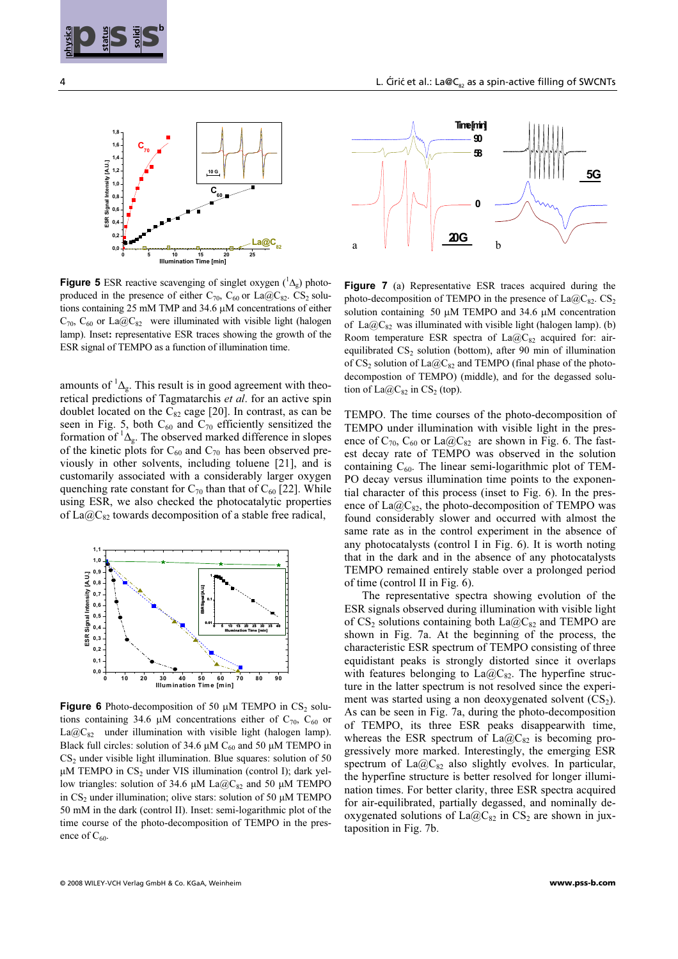



**Figure 5** ESR reactive scavenging of singlet oxygen  $({}^1\Delta_g)$  photo-<br>produced in the presence of either  $C = C$ , or La@C,  $C$ S, solu produced in the presence of either  $C_{70}$ ,  $C_{60}$  or La@C<sub>82</sub>. CS<sub>2</sub> solutions containing 25 mM TMP and 34.6 μM concentrations of either  $C_{70}$ ,  $C_{60}$  or La $@C_{82}$  were illuminated with visible light (halogen lamp). Inset: representative ESR traces showing the growth of the ESR signal of TEMPO as a function of illumination time.

amounts of  ${}^{1}\Delta_{g}$ . This result is in good agreement with theo-<br>rational prodictions of Tecnotorship et al. for an active spin retical predictions of Tagmatarchis *et al.* for an active spin doublet located on the  $C_{82}$  cage [20]. In contrast, as can be seen in Fig. 5, both  $C_{60}$  and  $C_{70}$  efficiently sensitized the formation of  ${}^1\Delta_g$ . The observed marked difference in slopes<br>of the kinetic plots for C, and C, has been observed proof the kinetic plots for  $C_{60}$  and  $C_{70}$  has been observed previously in other solvents, including toluene [21], and is customarily associated with a considerably larger oxygen quenching rate constant for  $C_{70}$  than that of  $C_{60}$  [22]. While using ESR, we also checked the photocatalytic properties of  $La@C<sub>82</sub>$  towards decomposition of a stable free radical,



**Figure 6** Photo-decomposition of 50  $\mu$ M TEMPO in CS<sub>2</sub> solutions containing 34.6 μM concentrations either of  $C_{70}$ ,  $C_{60}$  or  $La@C_{82}$  under illumination with visible light (halogen lamp). Black full circles: solution of 34.6  $\mu$ M C<sub>60</sub> and 50  $\mu$ M TEMPO in CS<sub>2</sub> under visible light illumination. Blue squares: solution of 50  $\mu$ M TEMPO in CS<sub>2</sub> under VIS illumination (control I); dark yellow triangles: solution of 34.6  $\mu$ M La@C<sub>82</sub> and 50  $\mu$ M TEMPO in  $CS_2$  under illumination; olive stars: solution of 50  $\mu$ M TEMPO 50 mM in the dark (control II). Inset: semi-logarithmic plot of the time course of the photo-decomposition of TEMPO in the presence of  $C_{60}$ .



Figure 7 (a) Representative ESR traces acquired during the photo-decomposition of TEMPO in the presence of  $La@C_{82}$ . CS<sub>2</sub> solution containing 50 μM TEMPO and 34.6 μM concentration of La@C<sub>82</sub> was illuminated with visible light (halogen lamp). (b) Room temperature ESR spectra of  $La@C_{82}$  acquired for: airequilibrated  $CS_2$  solution (bottom), after 90 min of illumination of  $CS_2$  solution of  $La@C_{82}$  and TEMPO (final phase of the photodecompostion of TEMPO) (middle), and for the degassed solution of  $La@C_{82}$  in CS<sub>2</sub> (top).

TEMPO. The time courses of the photo-decomposition of TEMPO under illumination with visible light in the presence of  $C_{70}$ ,  $C_{60}$  or La@ $C_{82}$  are shown in Fig. 6. The fastest decay rate of TEMPO was observed in the solution containing  $C_{60}$ . The linear semi-logarithmic plot of TEM-PO decay versus illumination time points to the exponential character of this process (inset to Fig. 6). In the presence of  $La@C_{82}$ , the photo-decomposition of TEMPO was found considerably slower and occurred with almost the same rate as in the control experiment in the absence of any photocatalysts (control I in Fig. 6). It is worth noting that in the dark and in the absence of any photocatalysts TEMPO remained entirely stable over a prolonged period of time (control II in Fig. 6).

**EXERCISE CONFIRMATION** CONTINUOUS CONTINUOUS CONTINUOUS CONTINUOUS CONTINUOUS CONTINUOUS CONTINUOUS CONTINUOUS CONTINUOUS CONTINUOUS CONTINUOUS CONTINUOUS CONTINUOUS CONTINUOUS CONTINUOUS CONTINUOUS CONTINUOUS CONTINUOU The representative spectra showing evolution of the ESR signals observed during illumination with visible light of  $CS_2$  solutions containing both  $La@C_{82}$  and TEMPO are shown in Fig. 7a. At the beginning of the process, the characteristic ESR spectrum of TEMPO consisting of three equidistant peaks is strongly distorted since it overlaps with features belonging to  $La@C_{82}$ . The hyperfine structure in the latter spectrum is not resolved since the experiment was started using a non deoxygenated solvent  $(CS_2)$ . As can be seen in Fig. 7a, during the photo-decomposition of TEMPO, its three ESR peaks disappearwith time, whereas the ESR spectrum of  $La@C_{82}$  is becoming progressively more marked. Interestingly, the emerging ESR spectrum of  $La@C_{82}$  also slightly evolves. In particular, the hyperfine structure is better resolved for longer illumination times. For better clarity, three ESR spectra acquired for air-equilibrated, partially degassed, and nominally deoxygenated solutions of  $La@C_{82}$  in CS<sub>2</sub> are shown in juxtaposition in Fig. 7b.